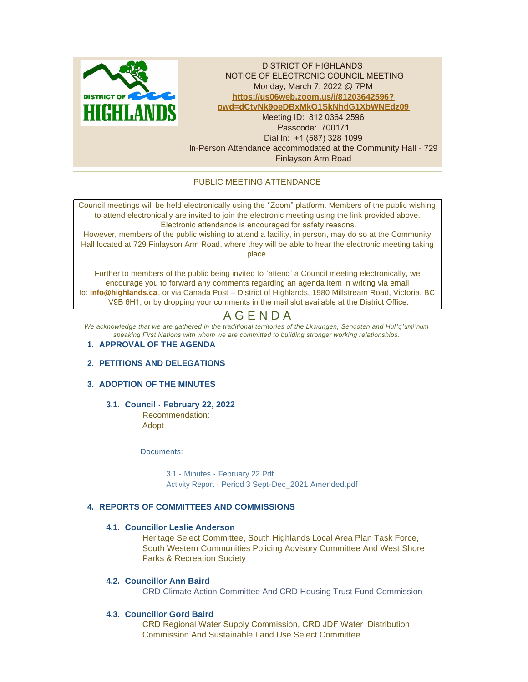

DISTRICT OF HIGHLANDS NOTICE OF ELECTRONIC COUNCIL MEETING Monday, March 7, 2022 @ 7PM **https://us06web.zoom.us/j/81203642596? pw[d=dCtyNk9oeDBxMkQ1SkNhdG1XbWNEdz09](https://us06web.zoom.us/j/81203642596?pwd=dCtyNk9oeDBxMkQ1SkNhdG1XbWNEdz09)** Meeting ID: 812 0364 2596 Passcode: 700171 Dial In: +1 (587) 328 1099 In-Person Attendance accommodated at the Community Hall - 729 Finlayson Arm Road

# PUBLIC MEETING ATTENDANCE

Council meetings will be held electronically using the "Zoom" platform. Members of the public wishing to attend electronically are invited to join the electronic meeting using the link provided above. Electronic attendance is encouraged for safety reasons.

However, members of the public wishing to attend a facility, in person, may do so at the Community Hall located at 729 Finlayson Arm Road, where they will be able to hear the electronic meeting taking place.

Further to members of the public being invited to 'attend' a Council meeting electronically, we encourage you to forward any comments regarding an agenda item in writing via email to: **[info@highlands.ca](mailto:info@highlands.ca)**, or via Canada Post – District of Highlands, 1980 Millstream Road, Victoria, BC V9B 6H1, or by dropping your comments in the mail slot available at the District Office.

# A G E N D A

*We acknowledge that we are gathered in the traditional territories of the Lkwungen, Sencoten and Hul 'q'umi'num speaking First Nations with whom we are committed to building stronger working relationships.*

# **APPROVAL OF THE AGENDA 1.**

# **PETITIONS AND DELEGATIONS 2.**

# **ADOPTION OF THE MINUTES 3.**

# **Council - February 22, 2022 3.1.**

Recommendation: Adopt

Documents:

[3.1 - Minutes - February 22.Pdf](https://www.highlands.ca/AgendaCenter/ViewFile/Item/6974?fileID=6660) [Activity Report - Period 3 Sept-Dec\\_2021 Amended.pdf](https://www.highlands.ca/AgendaCenter/ViewFile/Item/6974?fileID=6670)

# **REPORTS OF COMMITTEES AND COMMISSIONS 4.**

## **Councillor Leslie Anderson 4.1.**

Heritage Select Committee, South Highlands Local Area Plan Task Force, South Western Communities Policing Advisory Committee And West Shore Parks & Recreation Society

## **Councillor Ann Baird 4.2.**

CRD Climate Action Committee And CRD Housing Trust Fund Commission

# **Councillor Gord Baird 4.3.**

CRD Regional Water Supply Commission, CRD JDF Water Distribution Commission And Sustainable Land Use Select Committee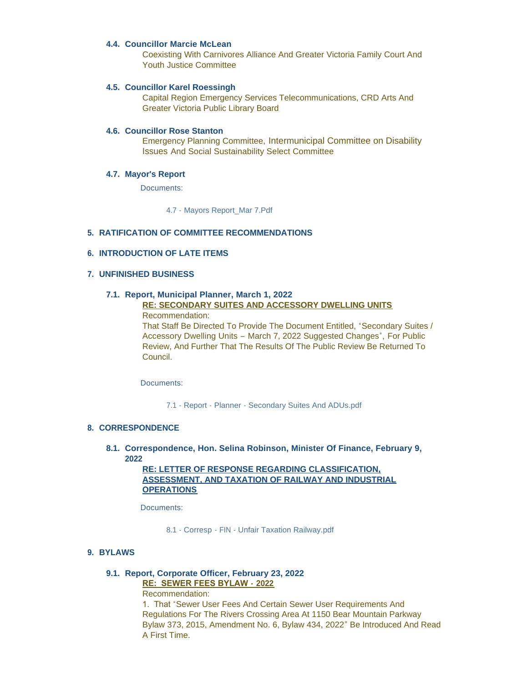### **Councillor Marcie McLean 4.4.**

Coexisting With Carnivores Alliance And Greater Victoria Family Court And Youth Justice Committee

### **Councillor Karel Roessingh 4.5.**

Capital Region Emergency Services Telecommunications, CRD Arts And Greater Victoria Public Library Board

### **4.6. Councillor Rose Stanton**

Emergency Planning Committee, Intermunicipal Committee on Disability Issues And Social Sustainability Select Committee

### **Mayor's Report 4.7.**

Documents:

[4.7 - Mayors Report\\_Mar 7.Pdf](https://www.highlands.ca/AgendaCenter/ViewFile/Item/6963?fileID=6669)

## **RATIFICATION OF COMMITTEE RECOMMENDATIONS 5.**

## **INTRODUCTION OF LATE ITEMS 6.**

### **UNFINISHED BUSINESS 7.**

# **Report, Municipal Planner, March 1, 2022 7.1.**

# **RE: SECONDARY SUITES AND ACCESSORY DWELLING UNITS**

Recommendation:

That Staff Be Directed To Provide The Document Entitled, "Secondary Suites / Accessory Dwelling Units – March 7, 2022 Suggested Changes", For Public Review, And Further That The Results Of The Public Review Be Returned To Council.

Documents:

7.1 - Report - Planner - [Secondary Suites And ADUs.pdf](https://www.highlands.ca/AgendaCenter/ViewFile/Item/6975?fileID=6662)

### **CORRESPONDENCE 8.**

**Correspondence, Hon. Selina Robinson, Minister Of Finance, February 9, 8.1. 2022**

> **RE: LETTER OF RESPONSE REGARDING CLASSIFICATION, ASSESSMENT, AND TAXATION OF RAILWAY AND INDUSTRIAL OPERATIONS**

Documents:

8.1 - Corresp - FIN - [Unfair Taxation Railway.pdf](https://www.highlands.ca/AgendaCenter/ViewFile/Item/6976?fileID=6663)

### **BYLAWS 9.**

# **Report, Corporate Officer, February 23, 2022 9.1.**

**RE: SEWER FEES BYLAW - 2022**

Recommendation:

1. That "Sewer User Fees And Certain Sewer User Requirements And Regulations For The Rivers Crossing Area At 1150 Bear Mountain Parkway Bylaw 373, 2015, Amendment No. 6, Bylaw 434, 2022" Be Introduced And Read A First Time.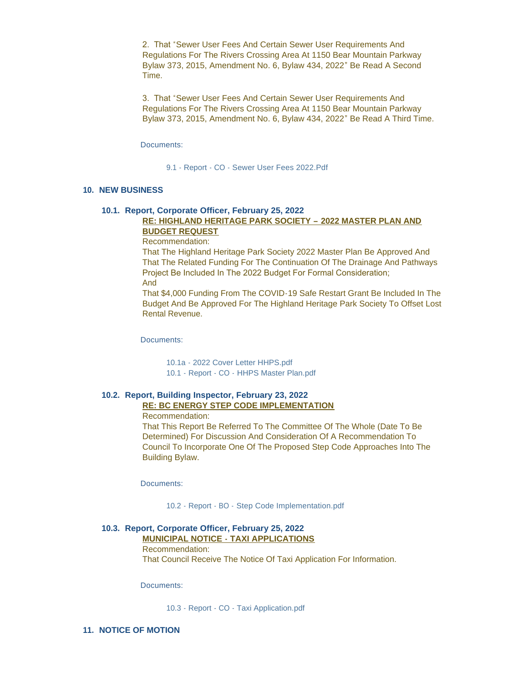2. That "Sewer User Fees And Certain Sewer User Requirements And Regulations For The Rivers Crossing Area At 1150 Bear Mountain Parkway Bylaw 373, 2015, Amendment No. 6, Bylaw 434, 2022" Be Read A Second Time.

3. That "Sewer User Fees And Certain Sewer User Requirements And Regulations For The Rivers Crossing Area At 1150 Bear Mountain Parkway Bylaw 373, 2015, Amendment No. 6, Bylaw 434, 2022" Be Read A Third Time.

Documents:

9.1 - Report - CO - [Sewer User Fees 2022.Pdf](https://www.highlands.ca/AgendaCenter/ViewFile/Item/6977?fileID=6673)

#### **NEW BUSINESS 10.**

#### **Report, Corporate Officer, February 25, 2022 10.1.**

# **RE: HIGHLAND HERITAGE PARK SOCIETY – 2022 MASTER PLAN AND BUDGET REQUEST**

Recommendation:

That The Highland Heritage Park Society 2022 Master Plan Be Approved And That The Related Funding For The Continuation Of The Drainage And Pathways Project Be Included In The 2022 Budget For Formal Consideration; And

That \$4,000 Funding From The COVID-19 Safe Restart Grant Be Included In The Budget And Be Approved For The Highland Heritage Park Society To Offset Lost Rental Revenue.

Documents:

10.1a - [2022 Cover Letter HHPS.pdf](https://www.highlands.ca/AgendaCenter/ViewFile/Item/6978?fileID=6671) [10.1 - Report - CO - HHPS Master Plan.pdf](https://www.highlands.ca/AgendaCenter/ViewFile/Item/6978?fileID=6665)

#### **Report, Building Inspector, February 23, 2022 10.2. RE: BC ENERGY STEP CODE IMPLEMENTATION**

Recommendation:

That This Report Be Referred To The Committee Of The Whole (Date To Be Determined) For Discussion And Consideration Of A Recommendation To Council To Incorporate One Of The Proposed Step Code Approaches Into The Building Bylaw.

Documents:

[10.2 - Report - BO - Step Code Implementation.pdf](https://www.highlands.ca/AgendaCenter/ViewFile/Item/6979?fileID=6666)

### **Report, Corporate Officer, February 25, 2022 10.3.**

**MUNICIPAL NOTICE - TAXI APPLICATIONS** Recommendation:

That Council Receive The Notice Of Taxi Application For Information.

Documents:

10.3 - Report - CO - [Taxi Application.pdf](https://www.highlands.ca/AgendaCenter/ViewFile/Item/6980?fileID=6667)

11. NOTICE OF MOTION